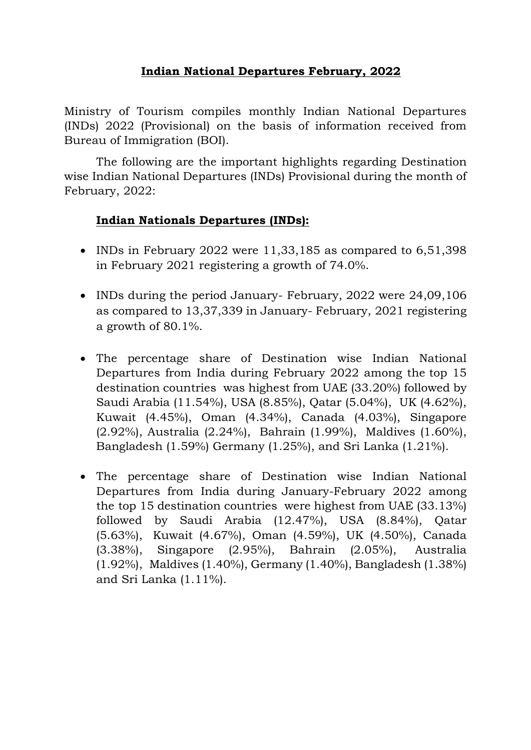## **Indian National Departures February, 2022**

Ministry of Tourism compiles monthly Indian National Departures (INDs) 2022 (Provisional) on the basis of information received from Bureau of Immigration (BOI).

The following are the important highlights regarding Destination wise Indian National Departures (INDs) Provisional during the month of February, 2022:

## **Indian Nationals Departures (INDs):**

- INDs in February 2022 were  $11,33,185$  as compared to  $6,51,398$ in February 2021 registering a growth of 74.0%.
- INDs during the period January- February, 2022 were 24,09,106 as compared to 13,37,339 in January- February, 2021 registering a growth of 80.1%.
- The percentage share of Destination wise Indian National Departures from India during February 2022 among the [top 15](https://tourism.eoffice.gov.in/eFile/ModalCorrespondenceView?corId=51623&individualPageNo=2&cpage=2&fileId=36539&type=Receipt&mId=26879)  [destination countries](https://tourism.eoffice.gov.in/eFile/ModalCorrespondenceView?corId=51623&individualPageNo=2&cpage=2&fileId=36539&type=Receipt&mId=26879) was highest from UAE (33.20%) followed by Saudi Arabia (11.54%), USA (8.85%), Qatar (5.04%), UK (4.62%), Kuwait (4.45%), Oman (4.34%), Canada (4.03%), Singapore (2.92%), Australia (2.24%), Bahrain (1.99%), Maldives (1.60%), Bangladesh (1.59%) Germany (1.25%), and Sri Lanka (1.21%).
- The percentage share of Destination wise Indian National Departures from India during January-February 2022 among the [top 15 destination countries](https://tourism.eoffice.gov.in/eFile/ModalCorrespondenceView?corId=51623&individualPageNo=2&cpage=2&fileId=36539&type=Receipt&mId=26879) were highest from UAE (33.13%) followed by Saudi Arabia (12.47%), USA (8.84%), Qatar (5.63%), Kuwait (4.67%), Oman (4.59%), UK (4.50%), Canada (3.38%), Singapore (2.95%), Bahrain (2.05%), Australia (1.92%), Maldives (1.40%), Germany (1.40%), Bangladesh (1.38%) and Sri Lanka (1.11%).